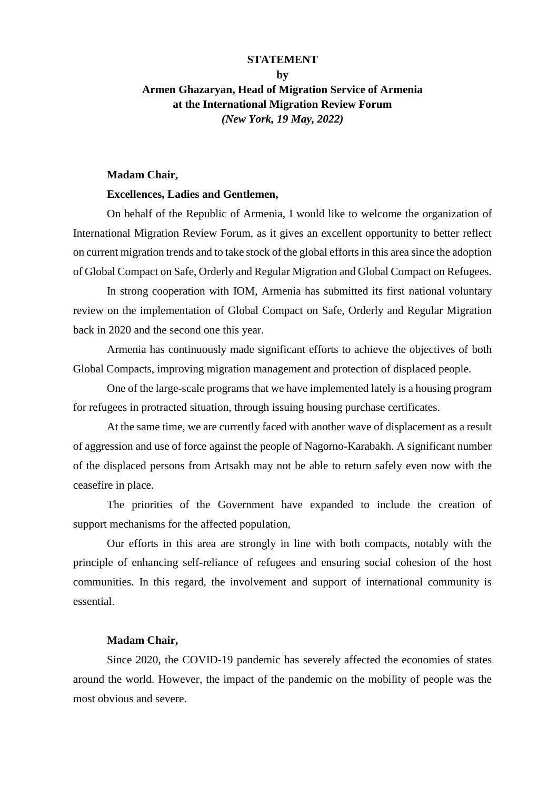#### **STATEMENT**

# **by Armen Ghazaryan, Head of Migration Service of Armenia at the International Migration Review Forum** *(New York, 19 May, 2022)*

#### **Madam Chair,**

### **Excellences, Ladies and Gentlemen,**

On behalf of the Republic of Armenia, I would like to welcome the organization of International Migration Review Forum, as it gives an excellent opportunity to better reflect on current migration trends and to take stock of the global efforts in this area since the adoption of Global Compact on Safe, Orderly and Regular Migration and Global Compact on Refugees.

In strong cooperation with IOM, Armenia has submitted its first national voluntary review on the implementation of Global Compact on Safe, Orderly and Regular Migration back in 2020 and the second one this year.

Armenia has continuously made significant efforts to achieve the objectives of both Global Compacts, improving migration management and protection of displaced people.

One of the large-scale programs that we have implemented lately is a housing program for refugees in protracted situation, through issuing housing purchase certificates.

At the same time, we are currently faced with another wave of displacement as a result of aggression and use of force against the people of Nagorno-Karabakh. A significant number of the displaced persons from Artsakh may not be able to return safely even now with the ceasefire in place.

The priorities of the Government have expanded to include the creation of support mechanisms for the affected population,

Our efforts in this area are strongly in line with both compacts, notably with the principle of enhancing self-reliance of refugees and ensuring social cohesion of the host communities. In this regard, the involvement and support of international community is essential.

## **Madam Chair,**

Since 2020, the COVID-19 pandemic has severely affected the economies of states around the world. However, the impact of the pandemic on the mobility of people was the most obvious and severe.